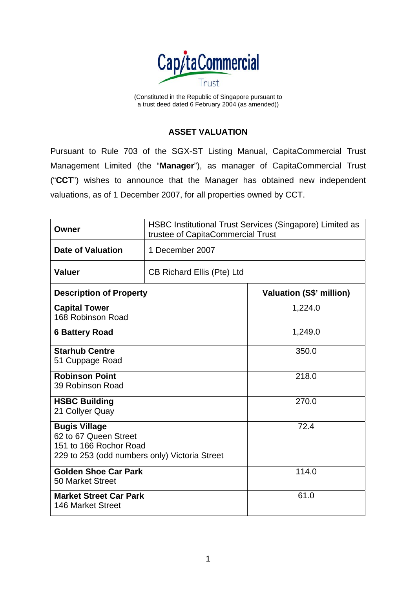

(Constituted in the Republic of Singapore pursuant to a trust deed dated 6 February 2004 (as amended))

## **ASSET VALUATION**

Pursuant to Rule 703 of the SGX-ST Listing Manual, CapitaCommercial Trust Management Limited (the "**Manager**"), as manager of CapitaCommercial Trust ("**CCT**") wishes to announce that the Manager has obtained new independent valuations, as of 1 December 2007, for all properties owned by CCT.

| Owner                                                                                                                    | HSBC Institutional Trust Services (Singapore) Limited as<br>trustee of CapitaCommercial Trust |                                 |
|--------------------------------------------------------------------------------------------------------------------------|-----------------------------------------------------------------------------------------------|---------------------------------|
| <b>Date of Valuation</b>                                                                                                 | 1 December 2007                                                                               |                                 |
| <b>Valuer</b>                                                                                                            | CB Richard Ellis (Pte) Ltd                                                                    |                                 |
| <b>Description of Property</b>                                                                                           |                                                                                               | <b>Valuation (S\$' million)</b> |
| <b>Capital Tower</b><br>168 Robinson Road                                                                                |                                                                                               | 1,224.0                         |
| <b>6 Battery Road</b>                                                                                                    |                                                                                               | 1,249.0                         |
| <b>Starhub Centre</b><br>51 Cuppage Road                                                                                 |                                                                                               | 350.0                           |
| <b>Robinson Point</b><br>39 Robinson Road                                                                                |                                                                                               | 218.0                           |
| <b>HSBC Building</b><br>21 Collyer Quay                                                                                  |                                                                                               | 270.0                           |
| <b>Bugis Village</b><br>62 to 67 Queen Street<br>151 to 166 Rochor Road<br>229 to 253 (odd numbers only) Victoria Street |                                                                                               | 72.4                            |
| <b>Golden Shoe Car Park</b><br>50 Market Street                                                                          |                                                                                               | 114.0                           |
| <b>Market Street Car Park</b><br>146 Market Street                                                                       |                                                                                               | 61.0                            |